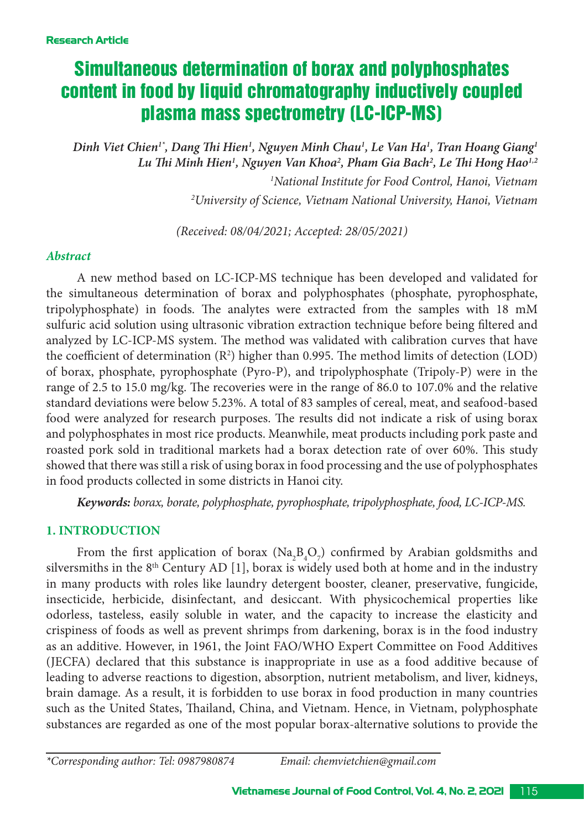# Simultaneous determination of borax and polyphosphates content in food by liquid chromatography inductively coupled plasma mass spectrometry (LC-ICP-MS)

*Dinh Viet Chien1\*, Dang Thi Hien1 , Nguyen Minh Chau1 , Le Van Ha1 , Tran Hoang Giang1* Lu Thi Minh Hien<sup>1</sup>, Nguyen Van Khoa<sup>2</sup>, Pham Gia Bach<sup>2</sup>, Le Thi Hong Hao<sup>1,2</sup> *1 National Institute for Food Control, Hanoi, Vietnam 2 University of Science, Vietnam National University, Hanoi, Vietnam*

*(Received: 08/04/2021; Accepted: 28/05/2021)*

# *Abstract*

A new method based on LC-ICP-MS technique has been developed and validated for the simultaneous determination of borax and polyphosphates (phosphate, pyrophosphate, tripolyphosphate) in foods. The analytes were extracted from the samples with 18 mM sulfuric acid solution using ultrasonic vibration extraction technique before being filtered and analyzed by LC-ICP-MS system. The method was validated with calibration curves that have the coefficient of determination  $(R^2)$  higher than 0.995. The method limits of detection (LOD) of borax, phosphate, pyrophosphate (Pyro-P), and tripolyphosphate (Tripoly-P) were in the range of 2.5 to 15.0 mg/kg. The recoveries were in the range of 86.0 to 107.0% and the relative standard deviations were below 5.23%. A total of 83 samples of cereal, meat, and seafood-based food were analyzed for research purposes. The results did not indicate a risk of using borax and polyphosphates in most rice products. Meanwhile, meat products including pork paste and roasted pork sold in traditional markets had a borax detection rate of over 60%. This study showed that there was still a risk of using borax in food processing and the use of polyphosphates in food products collected in some districts in Hanoi city.

*Keywords: borax, borate, polyphosphate, pyrophosphate, tripolyphosphate, food, LC-ICP-MS.* 

# **1. INTRODUCTION**

From the first application of borax ( $\text{Na}_2\text{B}_4\text{O}_7$ ) confirmed by Arabian goldsmiths and silversmiths in the  $8<sup>th</sup>$  Century AD [1], borax is widely used both at home and in the industry in many products with roles like laundry detergent booster, cleaner, preservative, fungicide, insecticide, herbicide, disinfectant, and desiccant. With physicochemical properties like odorless, tasteless, easily soluble in water, and the capacity to increase the elasticity and crispiness of foods as well as prevent shrimps from darkening, borax is in the food industry as an additive. However, in 1961, the Joint FAO/WHO Expert Committee on Food Additives (JECFA) declared that this substance is inappropriate in use as a food additive because of leading to adverse reactions to digestion, absorption, nutrient metabolism, and liver, kidneys, brain damage. As a result, it is forbidden to use borax in food production in many countries such as the United States, Thailand, China, and Vietnam. Hence, in Vietnam, polyphosphate substances are regarded as one of the most popular borax-alternative solutions to provide the

*\*Corresponding author: Tel: 0987980874 Email: chemvietchien@gmail.com*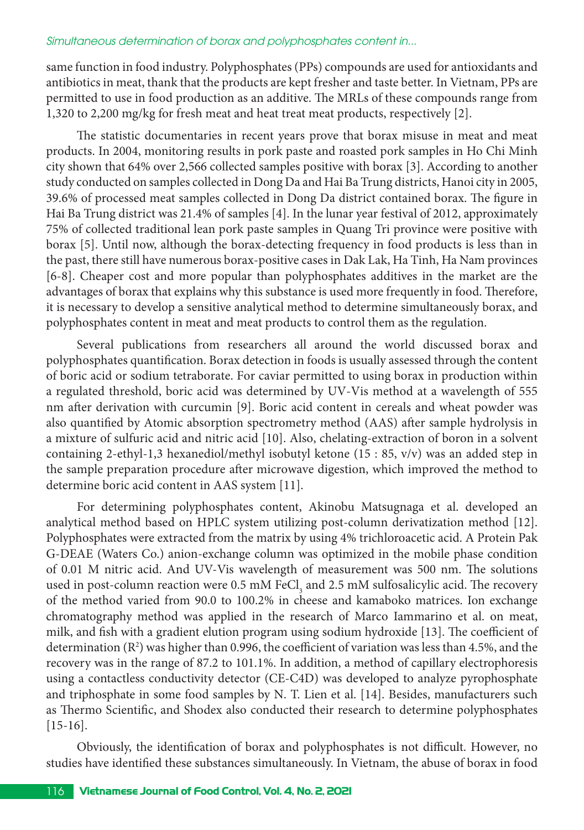#### *Simultaneous determination of borax and polyphosphates content in...*

same function in food industry. Polyphosphates (PPs) compounds are used for antioxidants and antibiotics in meat, thank that the products are kept fresher and taste better. In Vietnam, PPs are permitted to use in food production as an additive. The MRLs of these compounds range from 1,320 to 2,200 mg/kg for fresh meat and heat treat meat products, respectively [2].

The statistic documentaries in recent years prove that borax misuse in meat and meat products. In 2004, monitoring results in pork paste and roasted pork samples in Ho Chi Minh city shown that 64% over 2,566 collected samples positive with borax [3]. According to another study conducted on samples collected in Dong Da and Hai Ba Trung districts, Hanoi city in 2005, 39.6% of processed meat samples collected in Dong Da district contained borax. The figure in Hai Ba Trung district was 21.4% of samples [4]. In the lunar year festival of 2012, approximately 75% of collected traditional lean pork paste samples in Quang Tri province were positive with borax [5]. Until now, although the borax-detecting frequency in food products is less than in the past, there still have numerous borax-positive cases in Dak Lak, Ha Tinh, Ha Nam provinces [6-8]. Cheaper cost and more popular than polyphosphates additives in the market are the advantages of borax that explains why this substance is used more frequently in food. Therefore, it is necessary to develop a sensitive analytical method to determine simultaneously borax, and polyphosphates content in meat and meat products to control them as the regulation.

Several publications from researchers all around the world discussed borax and polyphosphates quantification. Borax detection in foods is usually assessed through the content of boric acid or sodium tetraborate. For caviar permitted to using borax in production within a regulated threshold, boric acid was determined by UV-Vis method at a wavelength of 555 nm after derivation with curcumin [9]. Boric acid content in cereals and wheat powder was also quantified by Atomic absorption spectrometry method (AAS) after sample hydrolysis in a mixture of sulfuric acid and nitric acid [10]. Also, chelating-extraction of boron in a solvent containing 2-ethyl-1,3 hexanediol/methyl isobutyl ketone (15 : 85, v/v) was an added step in the sample preparation procedure after microwave digestion, which improved the method to determine boric acid content in AAS system [11].

For determining polyphosphates content, Akinobu Matsugnaga et al. developed an analytical method based on HPLC system utilizing post-column derivatization method [12]. Polyphosphates were extracted from the matrix by using 4% trichloroacetic acid. A Protein Pak G-DEAE (Waters Co.) anion-exchange column was optimized in the mobile phase condition of 0.01 M nitric acid. And UV-Vis wavelength of measurement was 500 nm. The solutions used in post-column reaction were 0.5 mM FeCl<sub>3</sub> and 2.5 mM sulfosalicylic acid. The recovery of the method varied from 90.0 to 100.2% in cheese and kamaboko matrices. Ion exchange chromatography method was applied in the research of Marco Iammarino et al. on meat, milk, and fish with a gradient elution program using sodium hydroxide [13]. The coefficient of determination (R2 ) was higher than 0.996, the coefficient of variation was less than 4.5%, and the recovery was in the range of 87.2 to 101.1%. In addition, a method of capillary electrophoresis using a contactless conductivity detector (CE-C4D) was developed to analyze pyrophosphate and triphosphate in some food samples by N. T. Lien et al. [14]. Besides, manufacturers such as Thermo Scientific, and Shodex also conducted their research to determine polyphosphates [15-16].

Obviously, the identification of borax and polyphosphates is not difficult. However, no studies have identified these substances simultaneously. In Vietnam, the abuse of borax in food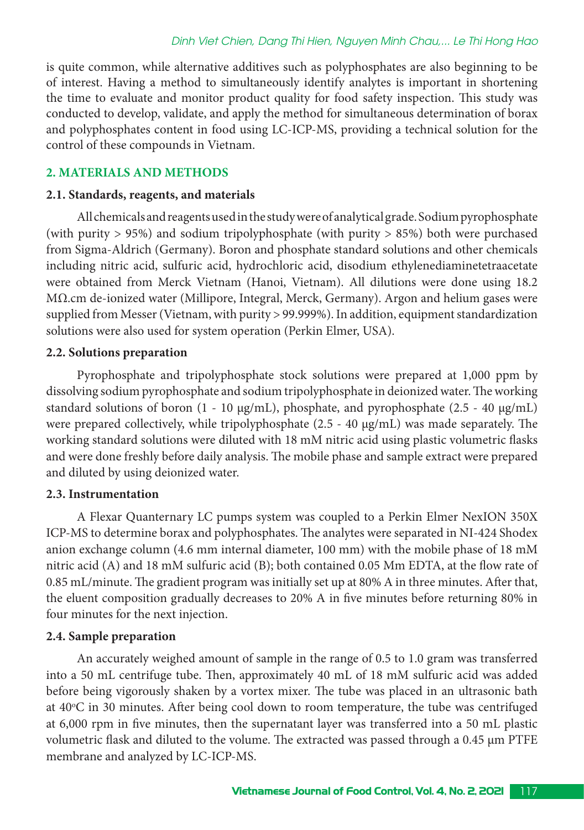is quite common, while alternative additives such as polyphosphates are also beginning to be of interest. Having a method to simultaneously identify analytes is important in shortening the time to evaluate and monitor product quality for food safety inspection. This study was conducted to develop, validate, and apply the method for simultaneous determination of borax and polyphosphates content in food using LC-ICP-MS, providing a technical solution for the control of these compounds in Vietnam.

# **2. MATERIALS AND METHODS**

#### **2.1. Standards, reagents, and materials**

All chemicals and reagents used in the study were of analytical grade. Sodium pyrophosphate (with purity > 95%) and sodium tripolyphosphate (with purity > 85%) both were purchased from Sigma-Aldrich (Germany). Boron and phosphate standard solutions and other chemicals including nitric acid, sulfuric acid, hydrochloric acid, disodium ethylenediaminetetraacetate were obtained from Merck Vietnam (Hanoi, Vietnam). All dilutions were done using 18.2 MΩ.cm de-ionized water (Millipore, Integral, Merck, Germany). Argon and helium gases were supplied from Messer (Vietnam, with purity > 99.999%). In addition, equipment standardization solutions were also used for system operation (Perkin Elmer, USA).

## **2.2. Solutions preparation**

Pyrophosphate and tripolyphosphate stock solutions were prepared at 1,000 ppm by dissolving sodium pyrophosphate and sodium tripolyphosphate in deionized water. The working standard solutions of boron (1 - 10  $\mu$ g/mL), phosphate, and pyrophosphate (2.5 - 40  $\mu$ g/mL) were prepared collectively, while tripolyphosphate (2.5 - 40 µg/mL) was made separately. The working standard solutions were diluted with 18 mM nitric acid using plastic volumetric flasks and were done freshly before daily analysis. The mobile phase and sample extract were prepared and diluted by using deionized water.

# **2.3. Instrumentation**

A Flexar Quanternary LC pumps system was coupled to a Perkin Elmer NexION 350X ICP-MS to determine borax and polyphosphates. The analytes were separated in NI-424 Shodex anion exchange column (4.6 mm internal diameter, 100 mm) with the mobile phase of 18 mM nitric acid (A) and 18 mM sulfuric acid (B); both contained 0.05 Mm EDTA, at the flow rate of 0.85 mL/minute. The gradient program was initially set up at 80% A in three minutes. After that, the eluent composition gradually decreases to 20% A in five minutes before returning 80% in four minutes for the next injection.

#### **2.4. Sample preparation**

An accurately weighed amount of sample in the range of 0.5 to 1.0 gram was transferred into a 50 mL centrifuge tube. Then, approximately 40 mL of 18 mM sulfuric acid was added before being vigorously shaken by a vortex mixer. The tube was placed in an ultrasonic bath at 40°C in 30 minutes. After being cool down to room temperature, the tube was centrifuged at 6,000 rpm in five minutes, then the supernatant layer was transferred into a 50 mL plastic volumetric flask and diluted to the volume. The extracted was passed through a 0.45 µm PTFE membrane and analyzed by LC-ICP-MS.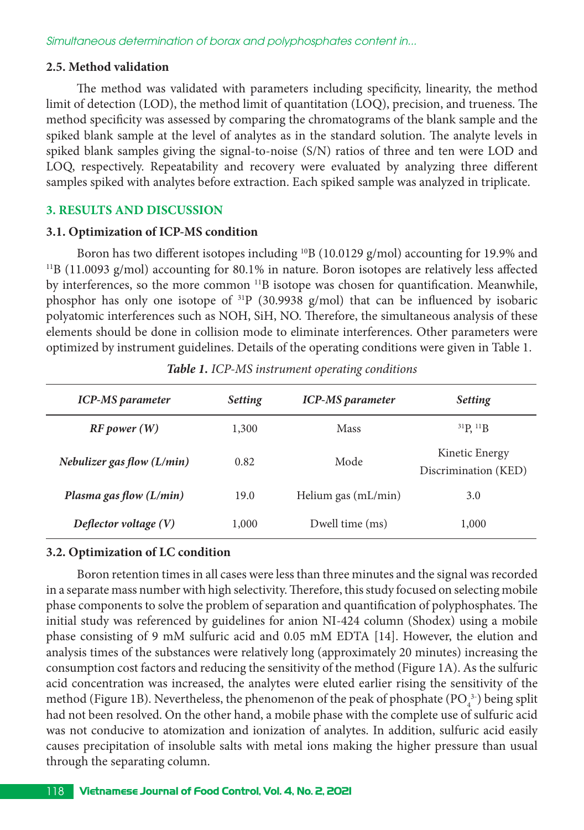#### **2.5. Method validation**

The method was validated with parameters including specificity, linearity, the method limit of detection (LOD), the method limit of quantitation (LOQ), precision, and trueness. The method specificity was assessed by comparing the chromatograms of the blank sample and the spiked blank sample at the level of analytes as in the standard solution. The analyte levels in spiked blank samples giving the signal-to-noise (S/N) ratios of three and ten were LOD and LOQ, respectively. Repeatability and recovery were evaluated by analyzing three different samples spiked with analytes before extraction. Each spiked sample was analyzed in triplicate.

# **3. RESULTS AND DISCUSSION**

## **3.1. Optimization of ICP-MS condition**

Boron has two different isotopes including <sup>10</sup>B (10.0129 g/mol) accounting for 19.9% and <sup>11</sup>B (11.0093 g/mol) accounting for 80.1% in nature. Boron isotopes are relatively less affected by interferences, so the more common <sup>11</sup>B isotope was chosen for quantification. Meanwhile, phosphor has only one isotope of 31P (30.9938 g/mol) that can be influenced by isobaric polyatomic interferences such as NOH, SiH, NO. Therefore, the simultaneous analysis of these elements should be done in collision mode to eliminate interferences. Other parameters were optimized by instrument guidelines. Details of the operating conditions were given in Table 1.

| <b>ICP-MS</b> parameter      | <b>Setting</b> | <b>ICP-MS</b> parameter | <b>Setting</b>                         |
|------------------------------|----------------|-------------------------|----------------------------------------|
| RF power (W)                 | 1,300          | Mass                    | $^{31}P, ^{11}B$                       |
| Nebulizer gas flow $(L/min)$ | 0.82           | Mode                    | Kinetic Energy<br>Discrimination (KED) |
| Plasma gas flow $(L/min)$    | 19.0           | Helium gas (mL/min)     | 3.0                                    |
| Deflector voltage (V)        | 1,000          | Dwell time (ms)         | 1,000                                  |

*Table 1. ICP-MS instrument operating conditions* 

# **3.2. Optimization of LC condition**

Boron retention times in all cases were less than three minutes and the signal was recorded in a separate mass number with high selectivity. Therefore, this study focused on selecting mobile phase components to solve the problem of separation and quantification of polyphosphates. The initial study was referenced by guidelines for anion NI-424 column (Shodex) using a mobile phase consisting of 9 mM sulfuric acid and 0.05 mM EDTA [14]. However, the elution and analysis times of the substances were relatively long (approximately 20 minutes) increasing the consumption cost factors and reducing the sensitivity of the method (Figure 1A). As the sulfuric acid concentration was increased, the analytes were eluted earlier rising the sensitivity of the method (Figure 1B). Nevertheless, the phenomenon of the peak of phosphate  $(PO<sub>4</sub><sup>3</sup>)$  being split had not been resolved. On the other hand, a mobile phase with the complete use of sulfuric acid was not conducive to atomization and ionization of analytes. In addition, sulfuric acid easily causes precipitation of insoluble salts with metal ions making the higher pressure than usual through the separating column.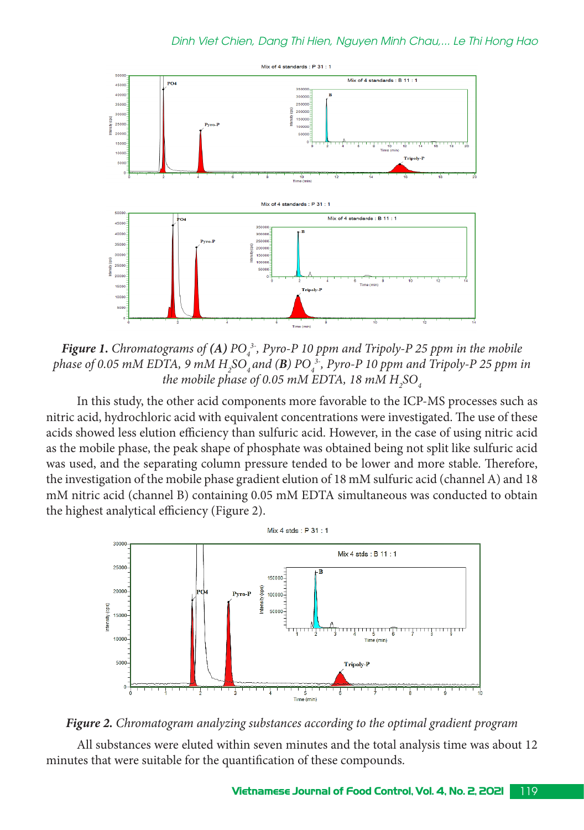

*Figure 1. Chromatograms of (A) PO*<sub>4</sub><sup>3</sup>, *Pyro-P 10 ppm and Tripoly-P 25 ppm in the mobile phase of 0.05 mM EDTA, 9 mM H2 SO4 and (B) PO4 3-, Pyro-P 10 ppm and Tripoly-P 25 ppm in*  the mobile phase of 0.05 mM EDTA, 18 mM  $H_{\rm _2}$ SO $_{\rm _4}$ 

In this study, the other acid components more favorable to the ICP-MS processes such as nitric acid, hydrochloric acid with equivalent concentrations were investigated. The use of these acids showed less elution efficiency than sulfuric acid. However, in the case of using nitric acid as the mobile phase, the peak shape of phosphate was obtained being not split like sulfuric acid was used, and the separating column pressure tended to be lower and more stable. Therefore, the investigation of the mobile phase gradient elution of 18 mM sulfuric acid (channel A) and 18 mM nitric acid (channel B) containing 0.05 mM EDTA simultaneous was conducted to obtain the highest analytical efficiency (Figure 2).



*Figure 2. Chromatogram analyzing substances according to the optimal gradient program*

All substances were eluted within seven minutes and the total analysis time was about 12 minutes that were suitable for the quantification of these compounds.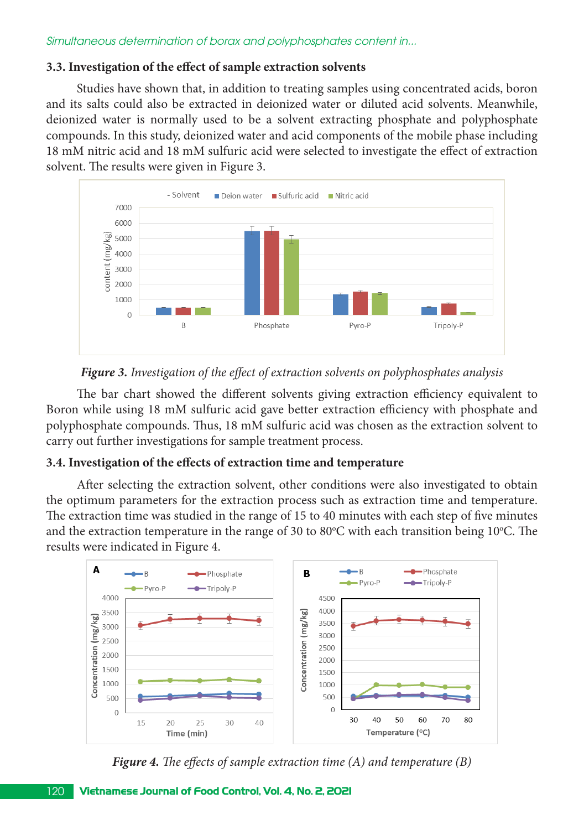# **3.3. Investigation of the effect of sample extraction solvents**

Studies have shown that, in addition to treating samples using concentrated acids, boron and its salts could also be extracted in deionized water or diluted acid solvents. Meanwhile, deionized water is normally used to be a solvent extracting phosphate and polyphosphate compounds. In this study, deionized water and acid components of the mobile phase including 18 mM nitric acid and 18 mM sulfuric acid were selected to investigate the effect of extraction solvent. The results were given in Figure 3.



# *Figure 3. Investigation of the effect of extraction solvents on polyphosphates analysis*

The bar chart showed the different solvents giving extraction efficiency equivalent to Boron while using 18 mM sulfuric acid gave better extraction efficiency with phosphate and polyphosphate compounds. Thus, 18 mM sulfuric acid was chosen as the extraction solvent to carry out further investigations for sample treatment process.

# **3.4. Investigation of the effects of extraction time and temperature**

After selecting the extraction solvent, other conditions were also investigated to obtain the optimum parameters for the extraction process such as extraction time and temperature. The extraction time was studied in the range of 15 to 40 minutes with each step of five minutes and the extraction temperature in the range of 30 to 80°C with each transition being 10°C. The results were indicated in Figure 4.



*Figure 4. The effects of sample extraction time (A) and temperature (B)*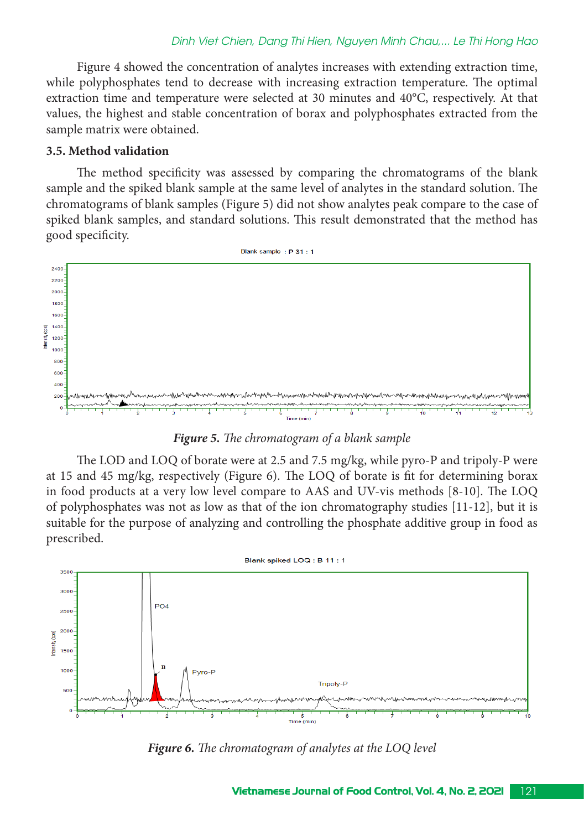#### *Dinh Viet Chien, Dang Thi Hien, Nguyen Minh Chau,... Le Thi Hong Hao*

Figure 4 showed the concentration of analytes increases with extending extraction time, while polyphosphates tend to decrease with increasing extraction temperature. The optimal extraction time and temperature were selected at 30 minutes and 40°C, respectively. At that values, the highest and stable concentration of borax and polyphosphates extracted from the sample matrix were obtained.

#### **3.5. Method validation**

The method specificity was assessed by comparing the chromatograms of the blank sample and the spiked blank sample at the same level of analytes in the standard solution. The chromatograms of blank samples (Figure 5) did not show analytes peak compare to the case of spiked blank samples, and standard solutions. This result demonstrated that the method has good specificity.



*Figure 5. The chromatogram of a blank sample*

The LOD and LOQ of borate were at 2.5 and 7.5 mg/kg, while pyro-P and tripoly-P were at 15 and 45 mg/kg, respectively (Figure 6). The LOQ of borate is fit for determining borax in food products at a very low level compare to AAS and UV-vis methods [8-10]. The LOQ of polyphosphates was not as low as that of the ion chromatography studies [11-12], but it is suitable for the purpose of analyzing and controlling the phosphate additive group in food as prescribed.



*Figure 6. The chromatogram of analytes at the LOQ level*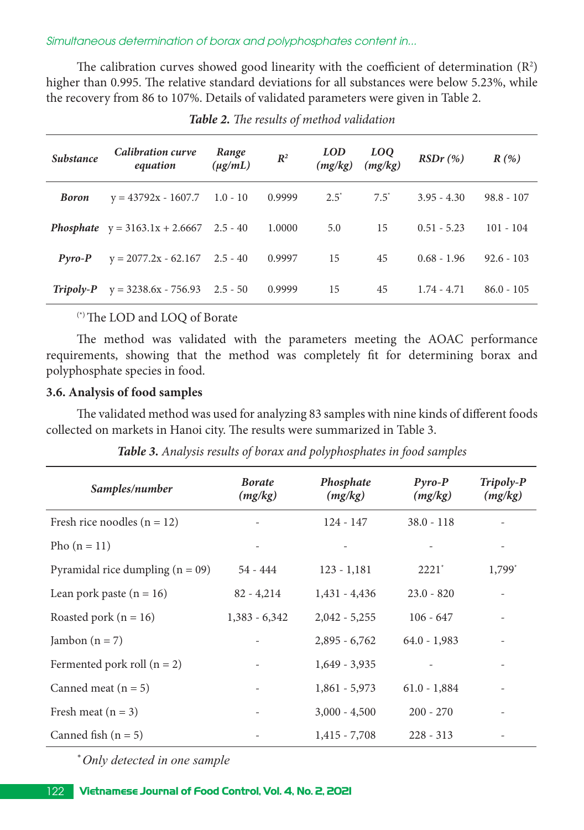*Simultaneous determination of borax and polyphosphates content in...*

The calibration curves showed good linearity with the coefficient of determination  $(R^2)$ higher than 0.995. The relative standard deviations for all substances were below 5.23%, while the recovery from 86 to 107%. Details of validated parameters were given in Table 2.

| <b>Substance</b> | <b>Calibration curve</b><br>equation             | Range<br>$(\mu g/mL)$ | $I\!\!R^2$ | <b>LOD</b><br>(mg/kg) | $LOQ$<br>(mg/kg) | $RSDr$ (%)    | R(%)         |
|------------------|--------------------------------------------------|-----------------------|------------|-----------------------|------------------|---------------|--------------|
| <b>Boron</b>     | $y = 43792x - 1607.7$ 1.0 - 10                   |                       | 0.9999     | $2.5^*$               | $7.5^*$          | $3.95 - 4.30$ | $98.8 - 107$ |
|                  | <b>Phosphate</b> $y = 3163.1x + 2.6667$ 2.5 - 40 |                       | 1.0000     | 5.0                   | 15               | $0.51 - 5.23$ | $101 - 104$  |
| $Pvro-P$         | $y = 2077.2x - 62.167$ 2.5 - 40                  |                       | 0.9997     | 15                    | 45               | $0.68 - 1.96$ | $92.6 - 103$ |
| $Tripoly-P$      | $y = 3238.6x - 756.93$ 2.5 - 50                  |                       | 0.9999     | 15                    | 45               | $1.74 - 4.71$ | $86.0 - 105$ |

*Table 2. The results of method validation*

# (\*) The LOD and LOQ of Borate

The method was validated with the parameters meeting the AOAC performance requirements, showing that the method was completely fit for determining borax and polyphosphate species in food.

# **3.6. Analysis of food samples**

The validated method was used for analyzing 83 samples with nine kinds of different foods collected on markets in Hanoi city. The results were summarized in Table 3.

| Samples/number                     | <b>Borate</b><br>(mg/kg) | Phosphate<br>(mg/kg) | $P$ <i>yro-P</i><br>(mg/kg) | Tripoly-P<br>(mg/kg)     |
|------------------------------------|--------------------------|----------------------|-----------------------------|--------------------------|
| Fresh rice noodles $(n = 12)$      |                          | $124 - 147$          | $38.0 - 118$                |                          |
| Pho $(n = 11)$                     |                          |                      |                             |                          |
| Pyramidal rice dumpling $(n = 09)$ | $54 - 444$               | $123 - 1,181$        | $2221^*$                    | $1,799^*$                |
| Lean pork paste $(n = 16)$         | $82 - 4,214$             | $1,431 - 4,436$      | $23.0 - 820$                |                          |
| Roasted pork ( $n = 16$ )          | $1,383 - 6,342$          | $2,042 - 5,255$      | $106 - 647$                 |                          |
| Jambon $(n = 7)$                   |                          | $2,895 - 6,762$      | $64.0 - 1,983$              |                          |
| Fermented pork roll $(n = 2)$      |                          | $1,649 - 3,935$      |                             |                          |
| Canned meat $(n = 5)$              |                          | $1,861 - 5,973$      | $61.0 - 1,884$              |                          |
| Fresh meat $(n = 3)$               | $\overline{\phantom{a}}$ | $3,000 - 4,500$      | $200 - 270$                 | $\overline{\phantom{a}}$ |
| Canned fish $(n = 5)$              |                          | $1,415 - 7,708$      | $228 - 313$                 | $\overline{\phantom{a}}$ |

*Table 3. Analysis results of borax and polyphosphates in food samples*

*\* Only detected in one sample*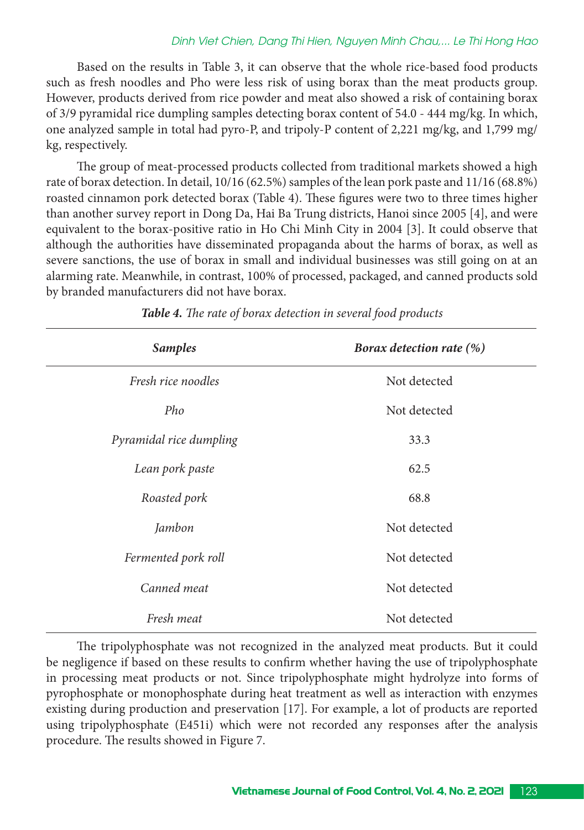#### *Dinh Viet Chien, Dang Thi Hien, Nguyen Minh Chau,... Le Thi Hong Hao*

Based on the results in Table 3, it can observe that the whole rice-based food products such as fresh noodles and Pho were less risk of using borax than the meat products group. However, products derived from rice powder and meat also showed a risk of containing borax of 3/9 pyramidal rice dumpling samples detecting borax content of 54.0 - 444 mg/kg. In which, one analyzed sample in total had pyro-P, and tripoly-P content of 2,221 mg/kg, and 1,799 mg/ kg, respectively.

The group of meat-processed products collected from traditional markets showed a high rate of borax detection. In detail, 10/16 (62.5%) samples of the lean pork paste and 11/16 (68.8%) roasted cinnamon pork detected borax (Table 4). These figures were two to three times higher than another survey report in Dong Da, Hai Ba Trung districts, Hanoi since 2005 [4], and were equivalent to the borax-positive ratio in Ho Chi Minh City in 2004 [3]. It could observe that although the authorities have disseminated propaganda about the harms of borax, as well as severe sanctions, the use of borax in small and individual businesses was still going on at an alarming rate. Meanwhile, in contrast, 100% of processed, packaged, and canned products sold by branded manufacturers did not have borax.

| <b>Samples</b>          | <b>Borax detection rate (%)</b> |
|-------------------------|---------------------------------|
| Fresh rice noodles      | Not detected                    |
| Pho                     | Not detected                    |
| Pyramidal rice dumpling | 33.3                            |
| Lean pork paste         | 62.5                            |
| Roasted pork            | 68.8                            |
| Jambon                  | Not detected                    |
| Fermented pork roll     | Not detected                    |
| Canned meat             | Not detected                    |
| Fresh meat              | Not detected                    |

*Table 4. The rate of borax detection in several food products*

The tripolyphosphate was not recognized in the analyzed meat products. But it could be negligence if based on these results to confirm whether having the use of tripolyphosphate in processing meat products or not. Since tripolyphosphate might hydrolyze into forms of pyrophosphate or monophosphate during heat treatment as well as interaction with enzymes existing during production and preservation [17]. For example, a lot of products are reported using tripolyphosphate (E451i) which were not recorded any responses after the analysis procedure. The results showed in Figure 7.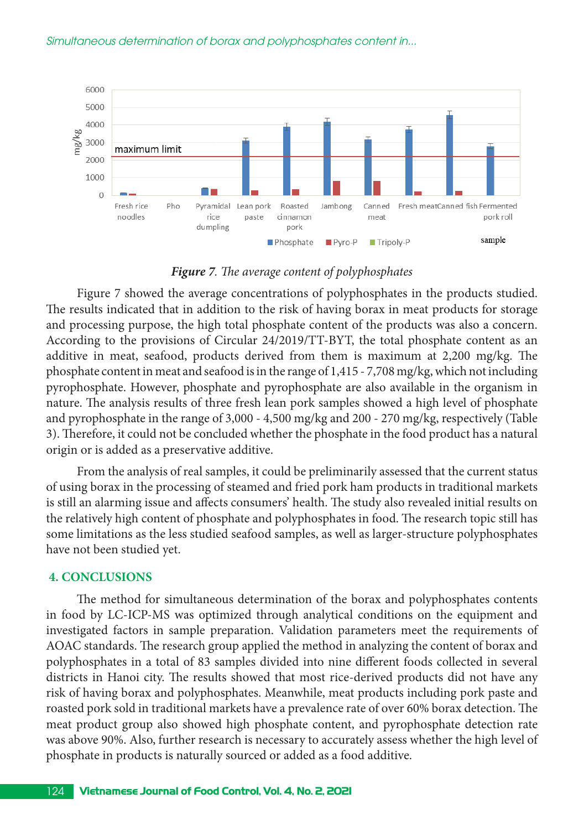*Simultaneous determination of borax and polyphosphates content in...*



#### *Figure 7. The average content of polyphosphates*

Figure 7 showed the average concentrations of polyphosphates in the products studied. The results indicated that in addition to the risk of having borax in meat products for storage and processing purpose, the high total phosphate content of the products was also a concern. According to the provisions of Circular 24/2019/TT-BYT, the total phosphate content as an additive in meat, seafood, products derived from them is maximum at 2,200 mg/kg. The phosphate content in meat and seafood is in the range of 1,415 - 7,708 mg/kg, which not including pyrophosphate. However, phosphate and pyrophosphate are also available in the organism in nature. The analysis results of three fresh lean pork samples showed a high level of phosphate and pyrophosphate in the range of 3,000 - 4,500 mg/kg and 200 - 270 mg/kg, respectively (Table 3). Therefore, it could not be concluded whether the phosphate in the food product has a natural origin or is added as a preservative additive.

From the analysis of real samples, it could be preliminarily assessed that the current status of using borax in the processing of steamed and fried pork ham products in traditional markets is still an alarming issue and affects consumers' health. The study also revealed initial results on the relatively high content of phosphate and polyphosphates in food. The research topic still has some limitations as the less studied seafood samples, as well as larger-structure polyphosphates have not been studied yet.

## **4. CONCLUSIONS**

The method for simultaneous determination of the borax and polyphosphates contents in food by LC-ICP-MS was optimized through analytical conditions on the equipment and investigated factors in sample preparation. Validation parameters meet the requirements of AOAC standards. The research group applied the method in analyzing the content of borax and polyphosphates in a total of 83 samples divided into nine different foods collected in several districts in Hanoi city. The results showed that most rice-derived products did not have any risk of having borax and polyphosphates. Meanwhile, meat products including pork paste and roasted pork sold in traditional markets have a prevalence rate of over 60% borax detection. The meat product group also showed high phosphate content, and pyrophosphate detection rate was above 90%. Also, further research is necessary to accurately assess whether the high level of phosphate in products is naturally sourced or added as a food additive.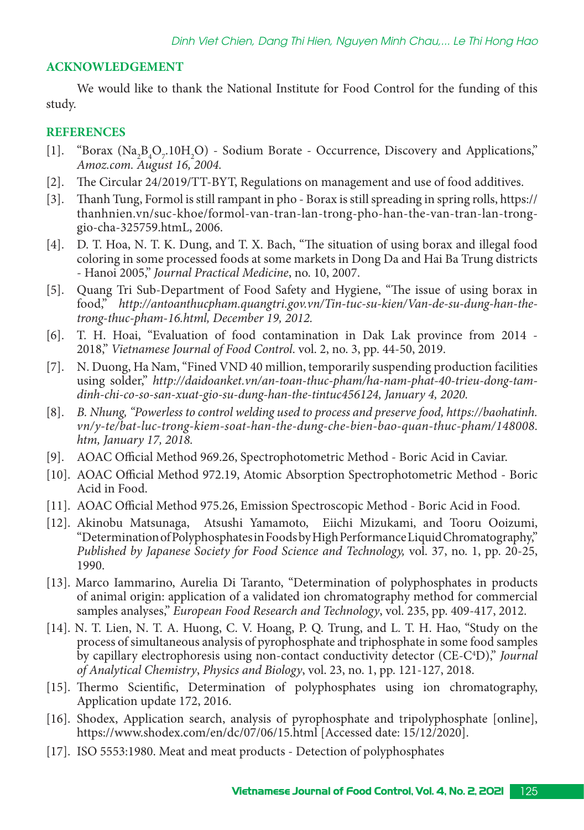# **ACKNOWLEDGEMENT**

We would like to thank the National Institute for Food Control for the funding of this study.

## **REFERENCES**

- [1]. "Borax  $(Na_2B_4O_7.10H_2O)$  Sodium Borate Occurrence, Discovery and Applications," *Amoz.com. August 16, 2004.*
- [2]. The Circular 24/2019/TT-BYT, Regulations on management and use of food additives.
- [3]. Thanh Tung, Formol is still rampant in pho Borax is still spreading in spring rolls, https:// thanhnien.vn/suc-khoe/formol-van-tran-lan-trong-pho-han-the-van-tran-lan-tronggio-cha-325759.htmL, 2006.
- [4]. D. T. Hoa, N. T. K. Dung, and T. X. Bach, "The situation of using borax and illegal food coloring in some processed foods at some markets in Dong Da and Hai Ba Trung districts - Hanoi 2005," *Journal Practical Medicine*, no. 10, 2007.
- [5]. Quang Tri Sub-Department of Food Safety and Hygiene, "The issue of using borax in food," *http://antoanthucpham.quangtri.gov.vn/Tin-tuc-su-kien/Van-de-su-dung-han-thetrong-thuc-pham-16.html, December 19, 2012.*
- [6]. T. H. Hoai, "Evaluation of food contamination in Dak Lak province from 2014 2018," *Vietnamese Journal of Food Control*. vol. 2, no. 3, pp. 44-50, 2019.
- [7]. N. Duong, Ha Nam, "Fined VND 40 million, temporarily suspending production facilities using solder," *http://daidoanket.vn/an-toan-thuc-pham/ha-nam-phat-40-trieu-dong-tamdinh-chi-co-so-san-xuat-gio-su-dung-han-the-tintuc456124, January 4, 2020.*
- [8]. *B. Nhung, "Powerless to control welding used to process and preserve food, https://baohatinh. vn/y-te/bat-luc-trong-kiem-soat-han-the-dung-che-bien-bao-quan-thuc-pham/148008. htm, January 17, 2018.*
- [9]. AOAC Official Method 969.26, Spectrophotometric Method Boric Acid in Caviar.
- [10]. AOAC Official Method 972.19, Atomic Absorption Spectrophotometric Method Boric Acid in Food.
- [11]. AOAC Official Method 975.26, Emission Spectroscopic Method Boric Acid in Food.
- [12]. Akinobu Matsunaga, Atsushi Yamamoto, Eiichi Mizukami, and Tooru Ooizumi, "Determination of Polyphosphates in Foods by High Performance Liquid Chromatography," *Published by Japanese Society for Food Science and Technology,* vol. 37, no. 1, pp. 20-25, 1990.
- [13]. Marco Iammarino, Aurelia Di Taranto, "Determination of polyphosphates in products of animal origin: application of a validated ion chromatography method for commercial samples analyses," *European Food Research and Technology*, vol. 235, pp. 409-417, 2012.
- [14]. N. T. Lien, N. T. A. Huong, C. V. Hoang, P. Q. Trung, and L. T. H. Hao, "Study on the process of simultaneous analysis of pyrophosphate and triphosphate in some food samples by capillary electrophoresis using non-contact conductivity detector (CE-C4 D)," *Journal of Analytical Chemistry*, *Physics and Biology*, vol. 23, no. 1, pp. 121-127, 2018.
- [15]. Thermo Scientific, Determination of polyphosphates using ion chromatography, Application update 172, 2016.
- [16]. Shodex, Application search, analysis of pyrophosphate and tripolyphosphate [online], https://www.shodex.com/en/dc/07/06/15.html [Accessed date: 15/12/2020].
- [17]. ISO 5553:1980. Meat and meat products Detection of polyphosphates